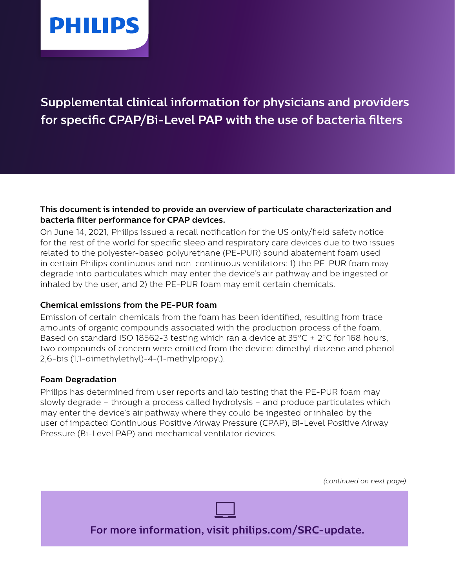

# **Supplemental clinical information for physicians and providers for specific CPAP/Bi-Level PAP with the use of bacteria filters**

#### **This document is intended to provide an overview of particulate characterization and bacteria filter performance for CPAP devices.**

On June 14, 2021, Philips issued a recall notification for the US only/field safety notice for the rest of the world for specific sleep and respiratory care devices due to two issues related to the polyester-based polyurethane (PE-PUR) sound abatement foam used in certain Philips continuous and non-continuous ventilators: 1) the PE-PUR foam may degrade into particulates which may enter the device's air pathway and be ingested or inhaled by the user, and 2) the PE-PUR foam may emit certain chemicals.

# **Chemical emissions from the PE-PUR foam**

Emission of certain chemicals from the foam has been identified, resulting from trace amounts of organic compounds associated with the production process of the foam. Based on standard ISO 18562-3 testing which ran a device at  $35^{\circ}$ C  $\pm$  2°C for 168 hours, two compounds of concern were emitted from the device: dimethyl diazene and phenol 2,6-bis (1,1-dimethylethyl)-4-(1-methylpropyl).

# **Foam Degradation**

Philips has determined from user reports and lab testing that the PE-PUR foam may slowly degrade – through a process called hydrolysis – and produce particulates which may enter the device's air pathway where they could be ingested or inhaled by the user of impacted Continuous Positive Airway Pressure (CPAP), Bi-Level Positive Airway Pressure (Bi-Level PAP) and mechanical ventilator devices.

**For more information, visit [philips.com/SRC-update.](http://philips.com/SRC-update)** *(continued on next page)*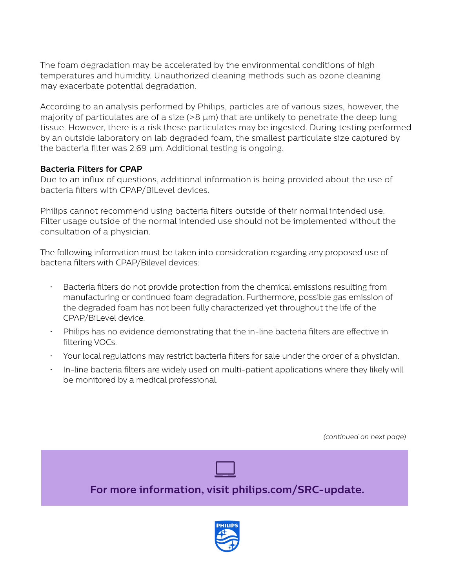The foam degradation may be accelerated by the environmental conditions of high temperatures and humidity. Unauthorized cleaning methods such as ozone cleaning may exacerbate potential degradation.

According to an analysis performed by Philips, particles are of various sizes, however, the majority of particulates are of a size  $(>8 \mu m)$  that are unlikely to penetrate the deep lung tissue. However, there is a risk these particulates may be ingested. During testing performed by an outside laboratory on lab degraded foam, the smallest particulate size captured by the bacteria filter was 2.69 µm. Additional testing is ongoing.

# **Bacteria Filters for CPAP**

Due to an influx of questions, additional information is being provided about the use of bacteria filters with CPAP/BiLevel devices.

Philips cannot recommend using bacteria filters outside of their normal intended use. Filter usage outside of the normal intended use should not be implemented without the consultation of a physician.

The following information must be taken into consideration regarding any proposed use of bacteria filters with CPAP/Bilevel devices:

- Bacteria filters do not provide protection from the chemical emissions resulting from manufacturing or continued foam degradation. Furthermore, possible gas emission of the degraded foam has not been fully characterized yet throughout the life of the CPAP/BiLevel device.
- Philips has no evidence demonstrating that the in-line bacteria filters are effective in filtering VOCs.
- Your local regulations may restrict bacteria filters for sale under the order of a physician.
- In-line bacteria filters are widely used on multi-patient applications where they likely will be monitored by a medical professional.

*(continued on next page)*



**For more information, visit [philips.com/SRC-update.](http://philips.com/SRC-update)**

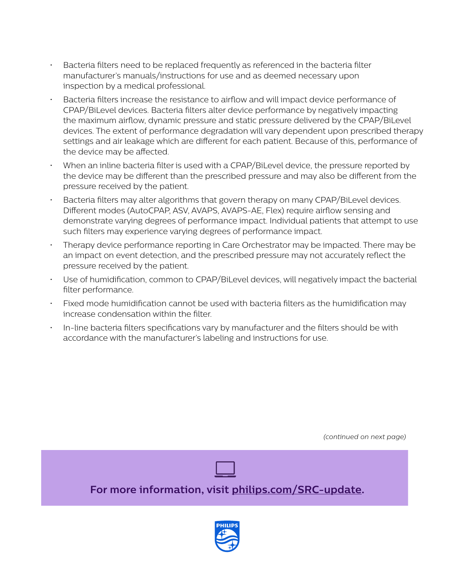- Bacteria filters need to be replaced frequently as referenced in the bacteria filter manufacturer's manuals/instructions for use and as deemed necessary upon inspection by a medical professional.
- Bacteria filters increase the resistance to airflow and will impact device performance of CPAP/BiLevel devices. Bacteria filters alter device performance by negatively impacting the maximum airflow, dynamic pressure and static pressure delivered by the CPAP/BiLevel devices. The extent of performance degradation will vary dependent upon prescribed therapy settings and air leakage which are different for each patient. Because of this, performance of the device may be affected.
- When an inline bacteria filter is used with a CPAP/BiLevel device, the pressure reported by the device may be different than the prescribed pressure and may also be different from the pressure received by the patient.
- Bacteria filters may alter algorithms that govern therapy on many CPAP/BiLevel devices. Different modes (AutoCPAP, ASV, AVAPS, AVAPS-AE, Flex) require airflow sensing and demonstrate varying degrees of performance impact. Individual patients that attempt to use such filters may experience varying degrees of performance impact.
- Therapy device performance reporting in Care Orchestrator may be impacted. There may be an impact on event detection, and the prescribed pressure may not accurately reflect the pressure received by the patient.
- Use of humidification, common to CPAP/BiLevel devices, will negatively impact the bacterial filter performance.
- Fixed mode humidification cannot be used with bacteria filters as the humidification may increase condensation within the filter.
- In-line bacteria filters specifications vary by manufacturer and the filters should be with accordance with the manufacturer's labeling and instructions for use.

*(continued on next page)*



**For more information, visit [philips.com/SRC-update.](http://philips.com/SRC-update)**